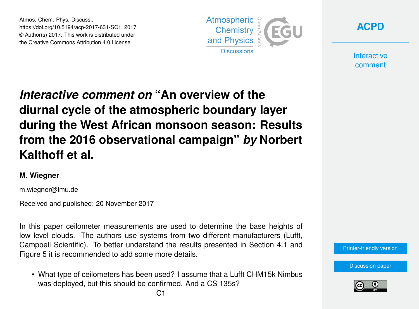Atmos. Chem. Phys. Discuss., https://doi.org/10.5194/acp-2017-631-SC1, 2017 © Author(s) 2017. This work is distributed under the Creative Commons Attribution 4.0 License.





**Interactive** comment

## *Interactive comment on* **"An overview of the diurnal cycle of the atmospheric boundary layer during the West African monsoon season: Results from the 2016 observational campaign"** *by* **Norbert Kalthoff et al.**

## **M. Wiegner**

m.wiegner@lmu.de

Received and published: 20 November 2017

In this paper ceilometer measurements are used to determine the base heights of low level clouds. The authors use systems from two different manufacturers (Lufft, Campbell Scientific). To better understand the results presented in Section 4.1 and Figure 5 it is recommended to add some more details.

• What type of ceilometers has been used? I assume that a Lufft CHM15k Nimbus was deployed, but this should be confirmed. And a CS 135s?

[Discussion paper](https://www.atmos-chem-phys-discuss.net/acp-2017-631)

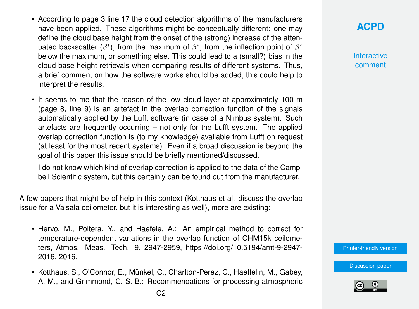- According to page 3 line 17 the cloud detection algorithms of the manufacturers have been applied. These algorithms might be conceptually different: one may define the cloud base height from the onset of the (strong) increase of the attenuated backscatter ( $\beta^*$ ), from the maximum of  $\beta^*$ , from the inflection point of  $\beta^*$ below the maximum, or something else. This could lead to a (small?) bias in the cloud base height retrievals when comparing results of different systems. Thus, a brief comment on how the software works should be added; this could help to interpret the results.
- It seems to me that the reason of the low cloud layer at approximately 100 m (page 8, line 9) is an artefact in the overlap correction function of the signals automatically applied by the Lufft software (in case of a Nimbus system). Such artefacts are frequently occurring – not only for the Lufft system. The applied overlap correction function is (to my knowledge) available from Lufft on request (at least for the most recent systems). Even if a broad discussion is beyond the goal of this paper this issue should be briefly mentioned/discussed.

I do not know which kind of overlap correction is applied to the data of the Campbell Scientific system, but this certainly can be found out from the manufacturer.

A few papers that might be of help in this context (Kotthaus et al. discuss the overlap issue for a Vaisala ceilometer, but it is interesting as well), more are existing:

- Hervo, M., Poltera, Y., and Haefele, A.: An empirical method to correct for temperature-dependent variations in the overlap function of CHM15k ceilometers, Atmos. Meas. Tech., 9, 2947-2959, https://doi.org/10.5194/amt-9-2947- 2016, 2016.
- Kotthaus, S., O'Connor, E., Münkel, C., Charlton-Perez, C., Haeffelin, M., Gabey, A. M., and Grimmond, C. S. B.: Recommendations for processing atmospheric

## **[ACPD](https://www.atmos-chem-phys-discuss.net/)**

**Interactive** comment

[Printer-friendly version](https://www.atmos-chem-phys-discuss.net/acp-2017-631/acp-2017-631-SC1-print.pdf)

[Discussion paper](https://www.atmos-chem-phys-discuss.net/acp-2017-631)